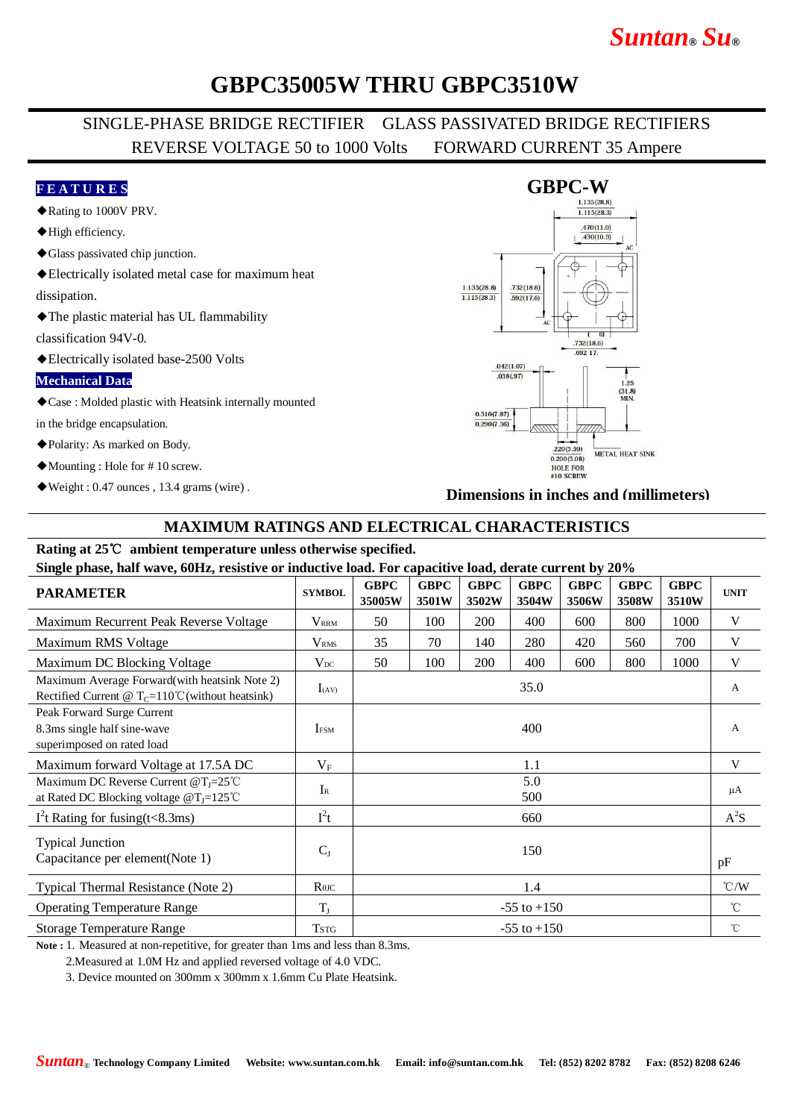# *Suntan***®** *Su***®**

## **GBPC35005W THRU GBPC3510W**

### SINGLE-PHASE BRIDGE RECTIFIER GLASS PASSIVATED BRIDGE RECTIFIERS REVERSE VOLTAGE 50 to 1000 Volts FORWARD CURRENT 35 Ampere

#### **F E A T U R E S**

- ◆Rating to 1000V PRV.
- ◆High efficiency.
- ◆Glass passivated chip junction.
- ◆Electrically isolated metal case for maximum heat

dissipation.

◆The plastic material has UL flammability

classification 94V-0.

◆Electrically isolated base-2500 Volts

#### **Mechanical Data**

◆Case : Molded plastic with Heatsink internally mounted

in the bridge encapsulation.

- ◆Polarity: As marked on Body.
- ◆Mounting : Hole for # 10 screw.
- ◆Weight : 0.47 ounces , 13.4 grams (wire) .

#### **GBPC-W**  $\overline{1.115(28.3)}$  $.470(11.0)$  $.430(10.9)$  $1.135(28.8)$  $.732(18.6)$  $\frac{115(28.3)}{115(28.3)}$  $\frac{1}{592(17.6)}$  $\overline{6}$  $.732(18.6)$ 692.17  $.042(1.07)$  $.038(.97)$  $1.25$  $\frac{(31.8)}{MIN.}$  $0.310(7.87)$  $0.290(7.36)$  $.220(5.59)$ METAL HEAT SINK  $0.200(5.08)$ **HOLE FOR** #10 SCREW

**Dimensions in inches and (millimeters)**

### **MAXIMUM RATINGS AND ELECTRICAL CHARACTERISTICS**

## **Rating at 25**℃ **ambient temperature unless otherwise specified.**

**Single phase, half wave, 60Hz, resistive or inductive load. For capacitive load, derate current by 20%**

| $\alpha$                                                                                                    |                         |                       |                      |                      |                      |                      |                      |                      |               |
|-------------------------------------------------------------------------------------------------------------|-------------------------|-----------------------|----------------------|----------------------|----------------------|----------------------|----------------------|----------------------|---------------|
| <b>PARAMETER</b>                                                                                            | <b>SYMBOL</b>           | <b>GBPC</b><br>35005W | <b>GBPC</b><br>3501W | <b>GBPC</b><br>3502W | <b>GBPC</b><br>3504W | <b>GBPC</b><br>3506W | <b>GBPC</b><br>3508W | <b>GBPC</b><br>3510W | <b>UNIT</b>   |
| Maximum Recurrent Peak Reverse Voltage                                                                      | <b>V</b> <sub>RRM</sub> | 50                    | 100                  | 200                  | 400                  | 600                  | 800                  | 1000                 | V             |
| Maximum RMS Voltage                                                                                         | V <sub>RMS</sub>        | 35                    | 70                   | 140                  | 280                  | 420                  | 560                  | 700                  | V             |
| Maximum DC Blocking Voltage                                                                                 | $V_{DC}$                | 50                    | 100                  | 200                  | 400                  | 600                  | 800                  | 1000                 | V             |
| Maximum Average Forward(with heatsink Note 2)<br>Rectified Current @ $T_c=110^{\circ}$ C (without heatsink) | $I_{(AV)}$              | 35.0                  |                      |                      |                      |                      |                      |                      | A             |
| Peak Forward Surge Current<br>8.3ms single half sine-wave<br>superimposed on rated load                     | <b>IFSM</b>             | 400                   |                      |                      |                      |                      |                      |                      | A             |
| Maximum forward Voltage at 17.5A DC                                                                         | $V_{\rm F}$             | 1.1                   |                      |                      |                      |                      |                      |                      | V             |
| Maximum DC Reverse Current @T <sub>J</sub> =25°C<br>at Rated DC Blocking voltage $@T_J=125^{\circ}C$        | $I_{R}$                 | 5.0<br>500            |                      |                      |                      |                      |                      |                      | μA            |
| $I2t$ Rating for fusing(t<8.3ms)                                                                            | $I^2t$                  | 660                   |                      |                      |                      |                      |                      |                      | $A^2S$        |
| <b>Typical Junction</b><br>Capacitance per element(Note 1)                                                  | $C_{J}$                 | 150                   |                      |                      |                      |                      |                      |                      | pF            |
| Typical Thermal Resistance (Note 2)                                                                         | $R$ $\theta$ JC         | 1.4                   |                      |                      |                      |                      |                      |                      | $\degree$ C/W |
| <b>Operating Temperature Range</b>                                                                          | $T_{J}$                 | $-55$ to $+150$       |                      |                      |                      |                      |                      |                      | $^{\circ}$ C  |
| <b>Storage Temperature Range</b>                                                                            | <b>TSTG</b>             | $-55$ to $+150$       |                      |                      |                      |                      |                      |                      | $^{\circ}$ C  |

**Note :** 1. Measured at non-repetitive, for greater than 1ms and less than 8.3ms.

2.Measured at 1.0M Hz and applied reversed voltage of 4.0 VDC.

3. Device mounted on 300mm x 300mm x 1.6mm Cu Plate Heatsink.